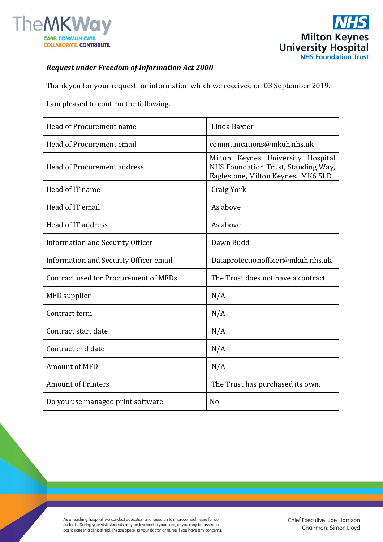



## *Request under Freedom of Information Act 2000*

Thank you for your request for information which we received on 03 September 2019.

I am pleased to confirm the following.

| Head of Procurement name               | Linda Baxter                                                                                                   |
|----------------------------------------|----------------------------------------------------------------------------------------------------------------|
| Head of Procurement email              | communications@mkuh.nhs.uk                                                                                     |
| Head of Procurement address            | Milton Keynes University Hospital<br>NHS Foundation Trust, Standing Way,<br>Eaglestone, Milton Keynes. MK6 5LD |
| Head of IT name                        | <b>Craig York</b>                                                                                              |
| Head of IT email                       | As above                                                                                                       |
| Head of IT address                     | As above                                                                                                       |
| Information and Security Officer       | Dawn Budd                                                                                                      |
| Information and Security Officer email | Dataprotectionofficer@mkuh.nhs.uk                                                                              |
| Contract used for Procurement of MFDs  | The Trust does not have a contract                                                                             |
| MFD supplier                           | N/A                                                                                                            |
| Contract term                          | N/A                                                                                                            |
| Contract start date                    | N/A                                                                                                            |
| Contract end date                      | N/A                                                                                                            |
| Amount of MFD                          | N/A                                                                                                            |
| <b>Amount of Printers</b>              | The Trust has purchased its own.                                                                               |
| Do you use managed print software      | N <sub>o</sub>                                                                                                 |

As a teaching hospital, we conduct education and research to improve healthcare for our patients. During your visit students may be involved in your care, or you may be asked to participate in a clinical trial. Please speak to your doctor or nurse if you have any concerns.